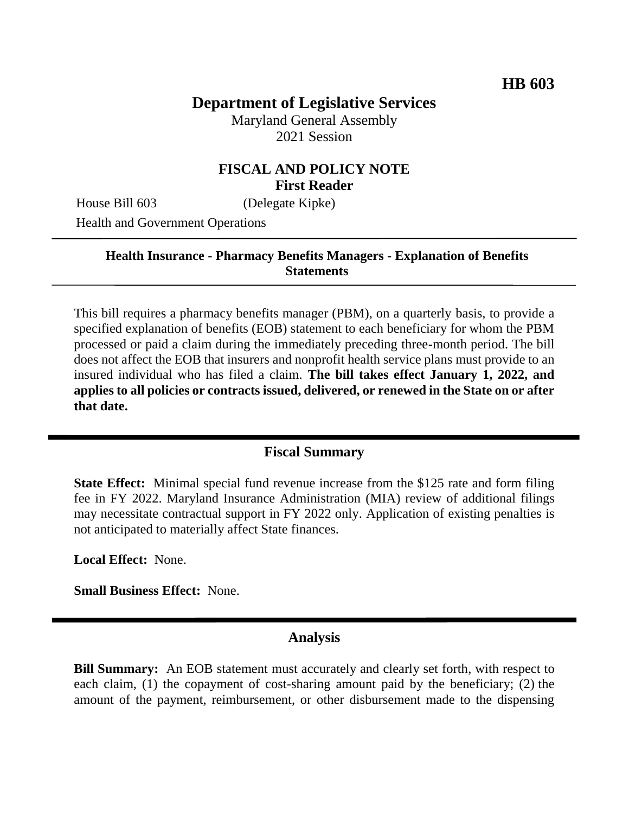# **Department of Legislative Services**

Maryland General Assembly 2021 Session

## **FISCAL AND POLICY NOTE First Reader**

House Bill 603 (Delegate Kipke)

Health and Government Operations

#### **Health Insurance - Pharmacy Benefits Managers - Explanation of Benefits Statements**

This bill requires a pharmacy benefits manager (PBM), on a quarterly basis, to provide a specified explanation of benefits (EOB) statement to each beneficiary for whom the PBM processed or paid a claim during the immediately preceding three-month period. The bill does not affect the EOB that insurers and nonprofit health service plans must provide to an insured individual who has filed a claim. **The bill takes effect January 1, 2022, and applies to all policies or contracts issued, delivered, or renewed in the State on or after that date.**

#### **Fiscal Summary**

**State Effect:** Minimal special fund revenue increase from the \$125 rate and form filing fee in FY 2022. Maryland Insurance Administration (MIA) review of additional filings may necessitate contractual support in FY 2022 only. Application of existing penalties is not anticipated to materially affect State finances.

**Local Effect:** None.

**Small Business Effect:** None.

## **Analysis**

**Bill Summary:** An EOB statement must accurately and clearly set forth, with respect to each claim, (1) the copayment of cost-sharing amount paid by the beneficiary; (2) the amount of the payment, reimbursement, or other disbursement made to the dispensing